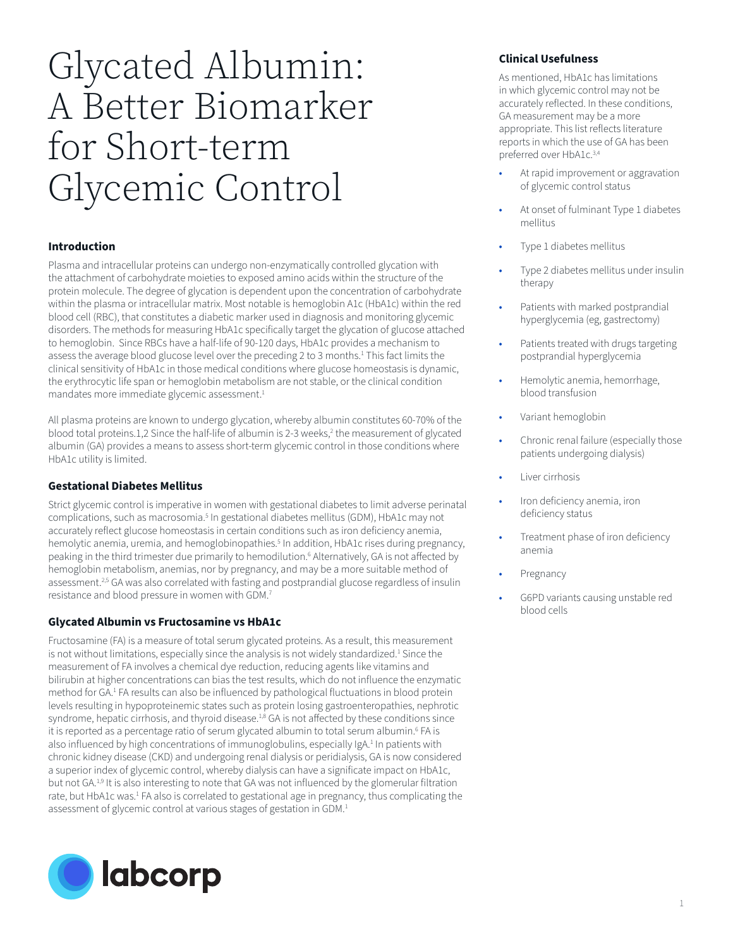# Glycated Albumin: A Better Biomarker for Short-term Glycemic Control

# **Introduction**

Plasma and intracellular proteins can undergo non-enzymatically controlled glycation with the attachment of carbohydrate moieties to exposed amino acids within the structure of the protein molecule. The degree of glycation is dependent upon the concentration of carbohydrate within the plasma or intracellular matrix. Most notable is hemoglobin A1c (HbA1c) within the red blood cell (RBC), that constitutes a diabetic marker used in diagnosis and monitoring glycemic disorders. The methods for measuring HbA1c specifically target the glycation of glucose attached to hemoglobin. Since RBCs have a half-life of 90-120 days, HbA1c provides a mechanism to assess the average blood glucose level over the preceding 2 to 3 months.<sup>1</sup> This fact limits the clinical sensitivity of HbA1c in those medical conditions where glucose homeostasis is dynamic, the erythrocytic life span or hemoglobin metabolism are not stable, or the clinical condition mandates more immediate glycemic assessment.<sup>1</sup>

All plasma proteins are known to undergo glycation, whereby albumin constitutes 60-70% of the blood total proteins.1,2 Since the half-life of albumin is 2-3 weeks, $^2$  the measurement of glycated albumin (GA) provides a means to assess short-term glycemic control in those conditions where HbA1c utility is limited.

## **Gestational Diabetes Mellitus**

Strict glycemic control is imperative in women with gestational diabetes to limit adverse perinatal complications, such as macrosomia.<sup>5</sup> In gestational diabetes mellitus (GDM), HbA1c may not accurately reflect glucose homeostasis in certain conditions such as iron deficiency anemia, hemolytic anemia, uremia, and hemoglobinopathies.<sup>5</sup> In addition, HbA1c rises during pregnancy, peaking in the third trimester due primarily to hemodilution.<sup>6</sup> Alternatively, GA is not affected by hemoglobin metabolism, anemias, nor by pregnancy, and may be a more suitable method of assessment.<sup>2,5</sup> GA was also correlated with fasting and postprandial glucose regardless of insulin resistance and blood pressure in women with GDM.7

## **Glycated Albumin vs Fructosamine vs HbA1c**

Fructosamine (FA) is a measure of total serum glycated proteins. As a result, this measurement is not without limitations, especially since the analysis is not widely standardized.<sup>1</sup> Since the measurement of FA involves a chemical dye reduction, reducing agents like vitamins and bilirubin at higher concentrations can bias the test results, which do not influence the enzymatic method for GA.<sup>1</sup> FA results can also be influenced by pathological fluctuations in blood protein levels resulting in hypoproteinemic states such as protein losing gastroenteropathies, nephrotic syndrome, hepatic cirrhosis, and thyroid disease.<sup>1,8</sup> GA is not affected by these conditions since it is reported as a percentage ratio of serum glycated albumin to total serum albumin.<sup>6</sup> FA is also influenced by high concentrations of immunoglobulins, especially IgA.<sup>1</sup> In patients with chronic kidney disease (CKD) and undergoing renal dialysis or peridialysis, GA is now considered a superior index of glycemic control, whereby dialysis can have a significate impact on HbA1c, but not GA.<sup>1,9</sup> It is also interesting to note that GA was not influenced by the glomerular filtration rate, but HbA1c was.<sup>1</sup> FA also is correlated to gestational age in pregnancy, thus complicating the assessment of glycemic control at various stages of gestation in GDM.<sup>1</sup>



# **Clinical Usefulness**

As mentioned, HbA1c has limitations in which glycemic control may not be accurately reflected. In these conditions, GA measurement may be a more appropriate. This list reflects literature reports in which the use of GA has been preferred over HbA1c.3,4

- At rapid improvement or aggravation of glycemic control status
- At onset of fulminant Type 1 diabetes mellitus
- Type 1 diabetes mellitus
- Type 2 diabetes mellitus under insulin therapy
- Patients with marked postprandial hyperglycemia (eg, gastrectomy)
- Patients treated with drugs targeting postprandial hyperglycemia
- Hemolytic anemia, hemorrhage, blood transfusion
- Variant hemoglobin
- Chronic renal failure (especially those patients undergoing dialysis)
- Liver cirrhosis
- Iron deficiency anemia, iron deficiency status
- Treatment phase of iron deficiency anemia
- **Pregnancy**
- G6PD variants causing unstable red blood cells